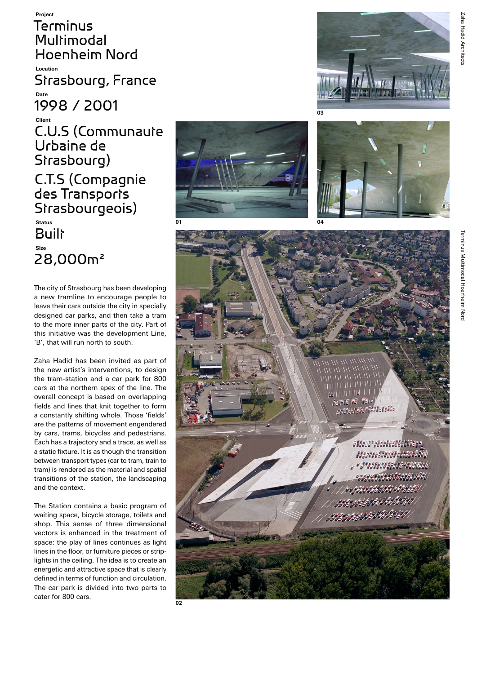Terminus Multimodal Hoenheim Nord **Location** Strasbourg, France **Date** 1998 / 2001 **Client** C.U.S (Communaute Urbaine de Strasbourg) C.T.S (Compagnie des Transports Strasbourgeois) **Status Built Size** 28,000m²

**Project**

The city of Strasbourg has been developing a new tramline to encourage people to leave their cars outside the city in specially designed car parks, and then take a tram to the more inner parts of the city. Part of this initiative was the development Line, 'B', that will run north to south.

Zaha Hadid has been invited as part of the new artist's interventions, to design the tram-station and a car park for 800 cars at the northern apex of the line. The overall concept is based on overlapping fields and lines that knit together to form a constantly shifting whole. Those 'fields' are the patterns of movement engendered by cars, trams, bicycles and pedestrians. Each has a trajectory and a trace, as well as a static fixture. It is as though the transition between transport types (car to tram, train to tram) is rendered as the material and spatial transitions of the station, the landscaping and the context.

The Station contains a basic program of waiting space, bicycle storage, toilets and shop. This sense of three dimensional vectors is enhanced in the treatment of space: the play of lines continues as light lines in the floor, or furniture pieces or striplights in the ceiling. The idea is to create an energetic and attractive space that is clearly defined in terms of function and circulation. The car park is divided into two parts to cater for 800 cars.









Zaha Hadid Architects

Zaha Hadid Architect: